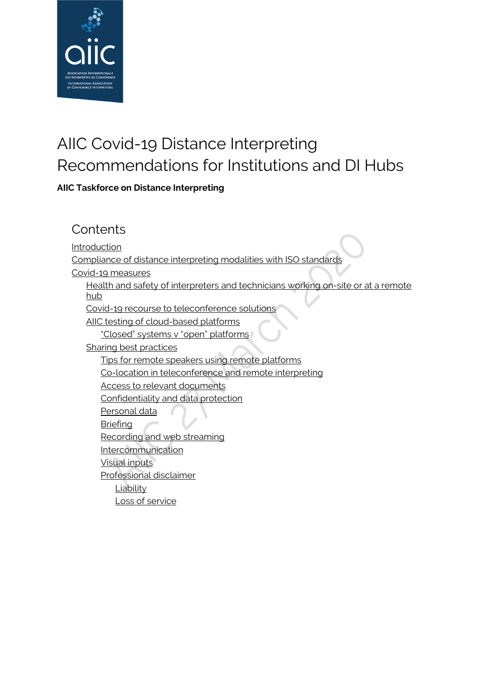

# AIIC Covid-19 Distance Interpreting Recommendations for Institutions and DI Hubs

**AIIC Taskforce on Distance Interpreting**

### **Contents**

**[Introduction](#page-1-0)** 

[Compliance of distance interpreting modalities with ISO standards](#page-3-0)

[Covid-19 measures](#page-3-1)

Health and safety of interpreters and technicians working on-site or at a remote [hub](#page-3-2)

[Covid-19 recourse to teleconference solutions](#page-4-0)

[AIIC testing of cloud-based platforms](#page-4-1)

["Closed" systems v "open" platforms](#page-5-0)

[Sharing best practices](#page-6-0)

[Tips for remote speakers using remote platforms](#page-6-1)

[Co-location in teleconference and remote interpreting](#page-7-0)

[Access to relevant documents](#page-9-0)

[Confidentiality and data protection](#page-9-1)

[Personal data](#page-9-2) A

[Briefing](#page-9-3)

[Recording and web streaming](#page-10-0)

[Intercommunication](#page-10-1)

[Visual inputs](#page-10-2)

[Professional disclaimer](#page-11-0)

**[Liability](#page-11-1)** 

[Loss of service](#page-11-2)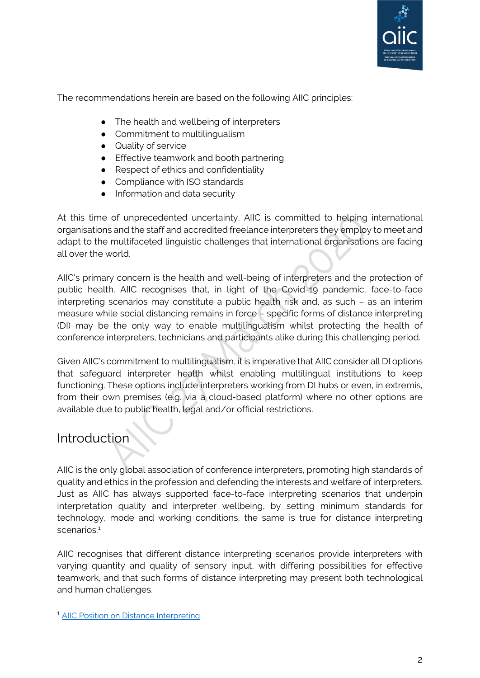

The recommendations herein are based on the following AIIC principles:

- The health and wellbeing of interpreters
- Commitment to multilingualism
- Quality of service
- Effective teamwork and booth partnering
- Respect of ethics and confidentiality
- Compliance with ISO standards
- Information and data security

At this time of unprecedented uncertainty, AIIC is committed to helping international organisations and the staff and accredited freelance interpreters they employ to meet and adapt to the multifaceted linguistic challenges that international organisations are facing all over the world.

AIIC's primary concern is the health and well-being of interpreters and the protection of public health. AIIC recognises that, in light of the Covid-19 pandemic, face-to-face interpreting scenarios may constitute a public health risk and, as such – as an interim measure while social distancing remains in force – specific forms of distance interpreting (DI) may be the only way to enable multilingualism whilst protecting the health of conference interpreters, technicians and participants alike during this challenging period.

Given AIIC's commitment to multilingualism, it is imperative that AIIC consider all DI options that safeguard interpreter health whilst enabling multilingual institutions to keep functioning. These options include interpreters working from DI hubs or even, in extremis, from their own premises (e.g. via a cloud-based platform) where no other options are available due to public health, legal and/or official restrictions.

### <span id="page-1-0"></span>**Introduction**

AIIC is the only global association of conference interpreters, promoting high standards of quality and ethics in the profession and defending the interests and welfare of interpreters. Just as AIIC has always supported face-to-face interpreting scenarios that underpin interpretation quality and interpreter wellbeing, by setting minimum standards for technology, mode and working conditions, the same is true for distance interpreting scenarios.<sup>[1](#page-1-1)</sup>

AIIC recognises that different distance interpreting scenarios provide interpreters with varying quantity and quality of sensory input, with differing possibilities for effective teamwork, and that such forms of distance interpreting may present both technological and human challenges.

<span id="page-1-1"></span><sup>&</sup>lt;sup>1</sup> [AIIC Position on Distance Interpreting](https://aiic.net/page/8538/aiic-position-on-distance-interpreting/lang/1)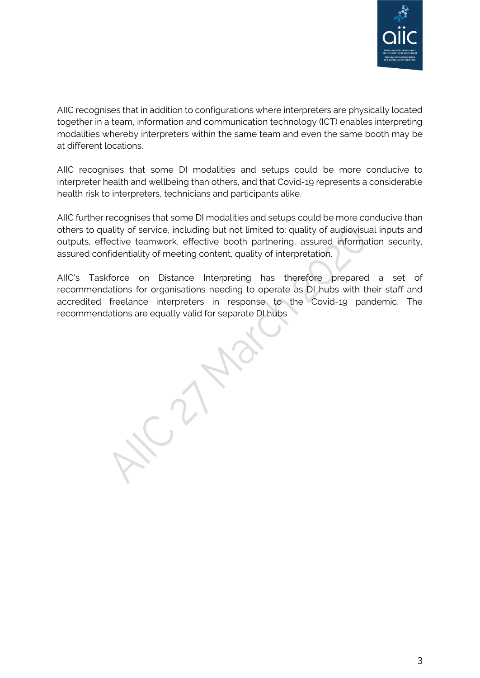

AIIC recognises that in addition to configurations where interpreters are physically located together in a team, information and communication technology (ICT) enables interpreting modalities whereby interpreters within the same team and even the same booth may be at different locations.

AIIC recognises that some DI modalities and setups could be more conducive to interpreter health and wellbeing than others, and that Covid-19 represents a considerable health risk to interpreters, technicians and participants alike.

AIIC further recognises that some DI modalities and setups could be more conducive than others to quality of service, including but not limited to: quality of audiovisual inputs and outputs, effective teamwork, effective booth partnering, assured information security, assured confidentiality of meeting content, quality of interpretation.

AIIC's Taskforce on Distance Interpreting has therefore prepared a set of recommendations for organisations needing to operate as DI hubs with their staff and accredited freelance interpreters in response to the Covid-19 pandemic. The recommendations are equally valid for separate DI hubs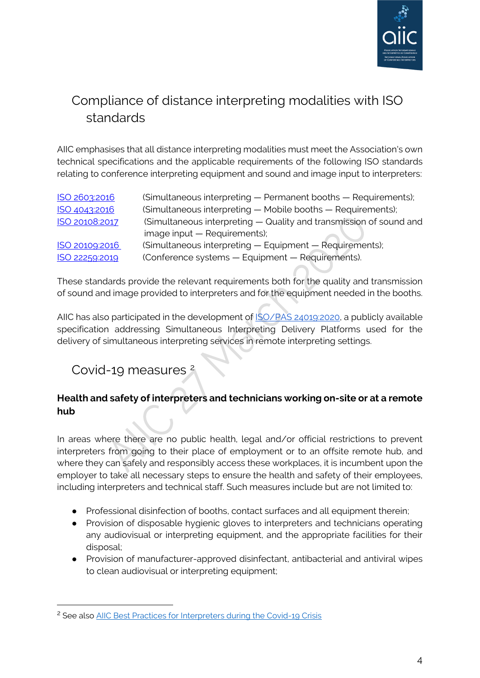

## <span id="page-3-0"></span>Compliance of distance interpreting modalities with ISO standards

AIIC emphasises that all distance interpreting modalities must meet the Association's own technical specifications and the applicable requirements of the following ISO standards relating to conference interpreting equipment and sound and image input to interpreters:

| ISO 2603:2016  | (Simultaneous interpreting — Permanent booths — Requirements);     |
|----------------|--------------------------------------------------------------------|
| ISO 4043:2016  | (Simultaneous interpreting - Mobile booths - Requirements);        |
| ISO 20108:2017 | (Simultaneous interpreting - Quality and transmission of sound and |
|                | image input - Requirements);                                       |
| ISO 20109:2016 | (Simultaneous interpreting - Equipment - Requirements);            |
| ISO 22259:2019 | (Conference systems - Equipment - Requirements).                   |

These standards provide the relevant requirements both for the quality and transmission of sound and image provided to interpreters and for the equipment needed in the booths.

AIIC has also participated in the development of [ISO/PAS 24019:2020,](https://www.iso.org/standard/77590.html) a publicly available specification addressing Simultaneous Interpreting Delivery Platforms used for the delivery of simultaneous interpreting services in remote interpreting settings.

### <span id="page-3-1"></span>Covid-19 measures [2](#page-3-3)

### <span id="page-3-2"></span>**Health and safety of interpreters and technicians working on-site or at a remote hub**

In areas where there are no public health, legal and/or official restrictions to prevent interpreters from going to their place of employment or to an offsite remote hub, and where they can safely and responsibly access these workplaces, it is incumbent upon the employer to take all necessary steps to ensure the health and safety of their employees, including interpreters and technical staff. Such measures include but are not limited to:

- Professional disinfection of booths, contact surfaces and all equipment therein;
- Provision of disposable hygienic gloves to interpreters and technicians operating any audiovisual or interpreting equipment, and the appropriate facilities for their disposal;
- Provision of manufacturer-approved disinfectant, antibacterial and antiviral wipes to clean audiovisual or interpreting equipment;

<span id="page-3-3"></span><sup>&</sup>lt;sup>2</sup> See also [AIIC Best Practices for Interpreters during the Covid-19 Crisis](https://aiic.net/page/8956/aiic-best-practices-for-interpreters-during-the-covid-19-crisis/lang/1)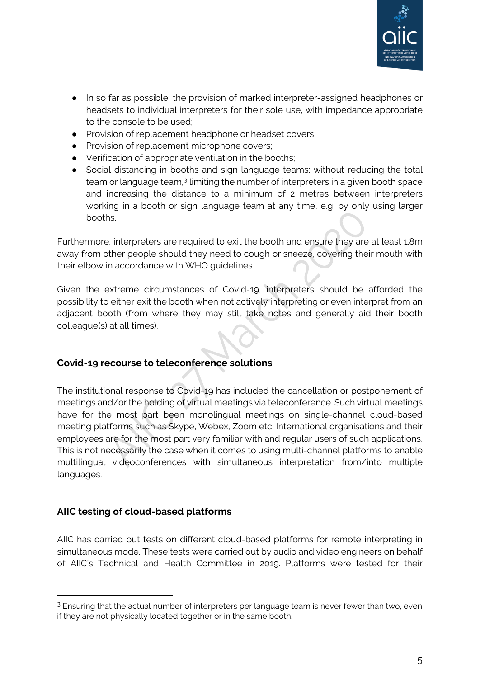

- In so far as possible, the provision of marked interpreter-assigned headphones or headsets to individual interpreters for their sole use, with impedance appropriate to the console to be used;
- Provision of replacement headphone or headset covers;
- Provision of replacement microphone covers;
- Verification of appropriate ventilation in the booths;
- Social distancing in booths and sign language teams: without reducing the total team or language team,<sup>[3](#page-4-2)</sup> limiting the number of interpreters in a given booth space and increasing the distance to a minimum of 2 metres between interpreters working in a booth or sign language team at any time, e.g. by only using larger booths.

Furthermore, interpreters are required to exit the booth and ensure they are at least 1.8m away from other people should they need to cough or sneeze, covering their mouth with their elbow in accordance with WHO guidelines.

Given the extreme circumstances of Covid-19, interpreters should be afforded the possibility to either exit the booth when not actively interpreting or even interpret from an adjacent booth (from where they may still take notes and generally aid their booth colleague(s) at all times).

#### <span id="page-4-0"></span>**Covid-19 recourse to teleconference solutions**

The institutional response to Covid-19 has included the cancellation or postponement of meetings and/or the holding of virtual meetings via teleconference. Such virtual meetings have for the most part been monolingual meetings on single-channel cloud-based meeting platforms such as Skype, Webex, Zoom etc. International organisations and their employees are for the most part very familiar with and regular users of such applications. This is not necessarily the case when it comes to using multi-channel platforms to enable multilingual videoconferences with simultaneous interpretation from/into multiple languages.

#### <span id="page-4-1"></span>**AIIC testing of cloud-based platforms**

AIIC has carried out tests on different cloud-based platforms for remote interpreting in simultaneous mode. These tests were carried out by audio and video engineers on behalf of AIIC's Technical and Health Committee in 2019. Platforms were tested for their

<span id="page-4-2"></span> $3$  Ensuring that the actual number of interpreters per language team is never fewer than two, even if they are not physically located together or in the same booth.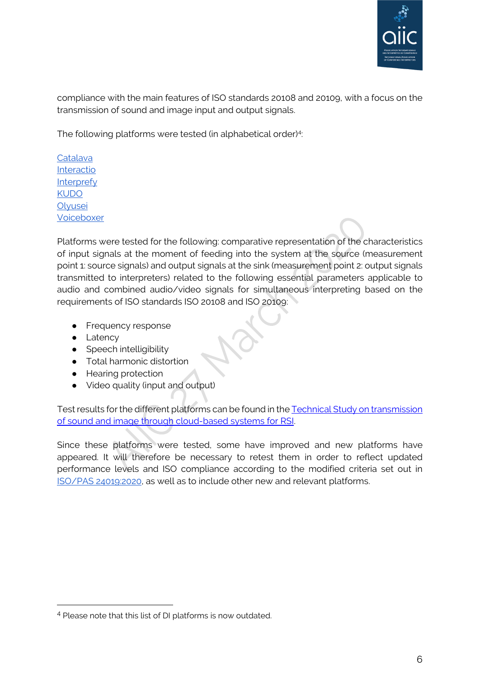

compliance with the main features of ISO standards 20108 and 20109, with a focus on the transmission of sound and image input and output signals.

The following platforms were tested (in alphabetical order)<sup>[4](#page-5-1)</sup>:

**[Catalava](https://www.catalava.com/en/)** [Interactio](https://interactio.io/) [Interprefy](https://interprefy.com/) [KUDO](http://kudoway.com/kudo/) **Olvusei** [Voiceboxer](https://voiceboxer.com/)

Platforms were tested for the following: comparative representation of the characteristics of input signals at the moment of feeding into the system at the source (measurement point 1: source signals) and output signals at the sink (measurement point 2: output signals transmitted to interpreters) related to the following essential parameters applicable to audio and combined audio/video signals for simultaneous interpreting based on the requirements of ISO standards ISO 20108 and ISO 20109:

- Frequency response
- Latency
- $\bullet$  Speech intelligibility
- Total harmonic distortion
- Hearing protection
- Video quality (input and output)

Test results for the different platforms can be found in the Technical Study on transmission [of sound and image through cloud-based systems for RSI.](https://aiic.net/page/8831)

<span id="page-5-0"></span>Since these platforms were tested, some have improved and new platforms have appeared. It will therefore be necessary to retest them in order to reflect updated performance levels and ISO compliance according to the modified criteria set out in [ISO/PAS 24019:2020,](https://www.iso.org/standard/77590.html) as well as to include other new and relevant platforms.

<span id="page-5-1"></span><sup>4</sup> Please note that this list of DI platforms is now outdated.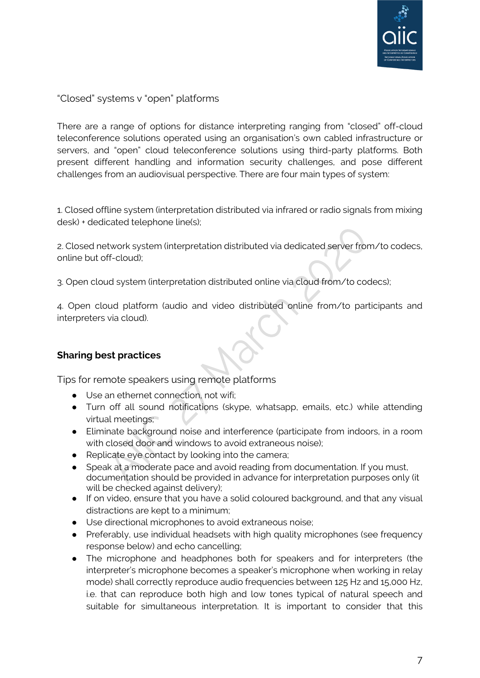

"Closed" systems v "open" platforms

There are a range of options for distance interpreting ranging from "closed" off-cloud teleconference solutions operated using an organisation's own cabled infrastructure or servers, and "open" cloud teleconference solutions using third-party platforms. Both present different handling and information security challenges, and pose different challenges from an audiovisual perspective. There are four main types of system:

1. Closed offline system (interpretation distributed via infrared or radio signals from mixing desk) + dedicated telephone line(s);

2. Closed network system (interpretation distributed via dedicated server from/to codecs, online but off-cloud);

3. Open cloud system (interpretation distributed online via cloud from/to codecs);

4. Open cloud platform (audio and video distributed online from/to participants and interpreters via cloud).

#### <span id="page-6-0"></span>**Sharing best practices**

<span id="page-6-1"></span>Tips for remote speakers using remote platforms

- Use an ethernet connection, not wifi;
- Turn off all sound notifications (skype, whatsapp, emails, etc.) while attending virtual meetings;
- Eliminate background noise and interference (participate from indoors, in a room with closed door and windows to avoid extraneous noise);
- Replicate eye contact by looking into the camera;
- Speak at a moderate pace and avoid reading from documentation. If you must, documentation should be provided in advance for interpretation purposes only (it will be checked against delivery);
- If on video, ensure that you have a solid coloured background, and that any visual distractions are kept to a minimum;
- Use directional microphones to avoid extraneous noise;
- Preferably, use individual headsets with high quality microphones (see frequency response below) and echo cancelling;
- The microphone and headphones both for speakers and for interpreters (the interpreter's microphone becomes a speaker's microphone when working in relay mode) shall correctly reproduce audio frequencies between 125 Hz and 15,000 Hz, i.e. that can reproduce both high and low tones typical of natural speech and suitable for simultaneous interpretation. It is important to consider that this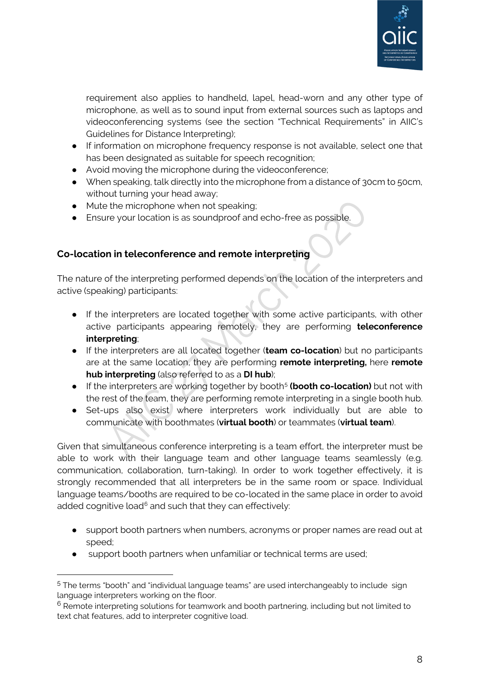<span id="page-7-0"></span>

requirement also applies to handheld, lapel, head-worn and any other type of microphone, as well as to sound input from external sources such as laptops and videoconferencing systems (see the section "Technical Requirements" in [AIIC's](https://aiic.net/page/8734/)  [Guidelines for Distance Interpreting\);](https://aiic.net/page/8734/)

- If information on microphone frequency response is not available, select one that has been designated as suitable for speech recognition;
- Avoid moving the microphone during the videoconference;
- When speaking, talk directly into the microphone from a distance of 30cm to 50cm, without turning your head away;
- Mute the microphone when not speaking;
- Ensure your location is as soundproof and echo-free as possible.

#### **Co-location in teleconference and remote interpreting**

The nature of the interpreting performed depends on the location of the interpreters and active (speaking) participants:

- If the interpreters are located together with some active participants, with other active participants appearing remotely, they are performing **teleconference interpreting**;
- If the interpreters are all located together (**team co-location**) but no participants are at the same location, they are performing **remote interpreting,** here **remote hub interpreting** (also referred to as a **DI hub**);
- **•** If the interpreters are working together by booth<sup>[5](#page-7-1)</sup> (booth co-location) but not with the rest of the team, they are performing remote interpreting in a single booth hub.
- Set-ups also exist where interpreters work individually but are able to communicate with boothmates (**virtual booth**) or teammates (**virtual team**).

Given that simultaneous conference interpreting is a team effort, the interpreter must be able to work with their language team and other language teams seamlessly (e.g. communication, collaboration, turn-taking). In order to work together effectively, it is strongly recommended that all interpreters be in the same room or space. Individual language teams/booths are required to be co-located in the same place in order to avoid added cognitive load $6$  and such that they can effectively:

- support booth partners when numbers, acronyms or proper names are read out at speed;
- support booth partners when unfamiliar or technical terms are used;

<span id="page-7-1"></span><sup>5</sup> The terms "booth" and "individual language teams" are used interchangeably to include sign language interpreters working on the floor.

<span id="page-7-2"></span> $6$  Remote interpreting solutions for teamwork and booth partnering, including but not limited to text chat features, add to interpreter cognitive load.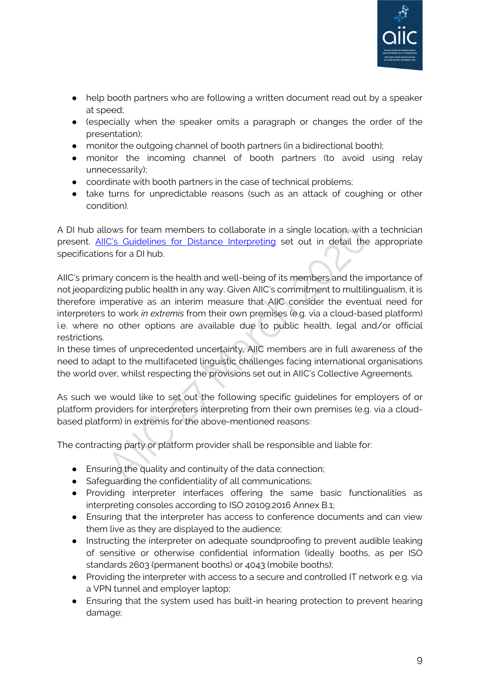

- help booth partners who are following a written document read out by a speaker at speed;
- (especially when the speaker omits a paragraph or changes the order of the presentation);
- monitor the outgoing channel of booth partners (in a bidirectional booth);
- monitor the incoming channel of booth partners (to avoid using relay unnecessarily);
- coordinate with booth partners in the case of technical problems;
- take turns for unpredictable reasons (such as an attack of coughing or other condition).

A DI hub allows for team members to collaborate in a single location, with a technician present. [AIIC's Guidelines for Distance Interpreting](https://aiic.net/page/8734/) set out in detail the appropriate specifications for a DI hub.

AIIC's primary concern is the health and well-being of its members and the importance of not jeopardizing public health in any way. Given AIIC's commitment to multilingualism, it is therefore imperative as an interim measure that AIIC consider the eventual need for interpreters to work *in extremis* from their own premises (e.g. via a cloud-based platform) i.e. where no other options are available due to public health, legal and/or official restrictions.

In these times of unprecedented uncertainty, AIIC members are in full awareness of the need to adapt to the multifaceted linguistic challenges facing international organisations the world over, whilst respecting the provisions set out in AIIC's Collective Agreements.

As such we would like to set out the following specific guidelines for employers of or platform providers for interpreters interpreting from their own premises (e.g. via a cloudbased platform) in extremis for the above-mentioned reasons:

The contracting party or platform provider shall be responsible and liable for:

- Ensuring the quality and continuity of the data connection;
- Safeguarding the confidentiality of all communications;
- Providing interpreter interfaces offering the same basic functionalities as interpreting consoles according to ISO 20109:2016 Annex B.1;
- Ensuring that the interpreter has access to conference documents and can view them live as they are displayed to the audience;
- Instructing the interpreter on adequate soundproofing to prevent audible leaking of sensitive or otherwise confidential information (ideally booths, as per ISO standards 2603 (permanent booths) or 4043 (mobile booths);
- Providing the interpreter with access to a secure and controlled IT network e.g. via a VPN tunnel and employer laptop;
- Ensuring that the system used has built-in hearing protection to prevent hearing damage;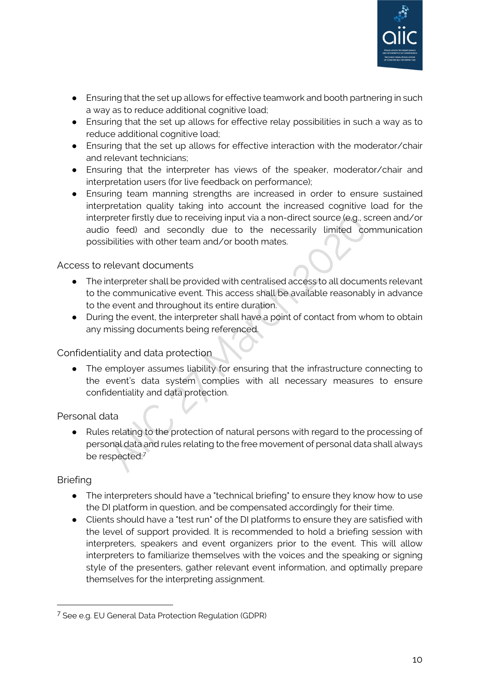

- Ensuring that the set up allows for effective teamwork and booth partnering in such a way as to reduce additional cognitive load;
- Ensuring that the set up allows for effective relay possibilities in such a way as to reduce additional cognitive load;
- Ensuring that the set up allows for effective interaction with the moderator/chair and relevant technicians;
- Ensuring that the interpreter has views of the speaker, moderator/chair and interpretation users (for live feedback on performance);
- Ensuring team manning strengths are increased in order to ensure sustained interpretation quality taking into account the increased cognitive load for the interpreter firstly due to receiving input via a non-direct source (e.g., screen and/or audio feed) and secondly due to the necessarily limited communication possibilities with other team and/or booth mates.

#### <span id="page-9-0"></span>Access to relevant documents

- The interpreter shall be provided with centralised access to all documents relevant to the communicative event. This access shall be available reasonably in advance to the event and throughout its entire duration.
- During the event, the interpreter shall have a point of contact from whom to obtain any missing documents being referenced.

#### <span id="page-9-1"></span>Confidentiality and data protection

● The employer assumes liability for ensuring that the infrastructure connecting to the event's data system complies with all necessary measures to ensure confidentiality and data protection.

#### <span id="page-9-2"></span>Personal data

● Rules relating to the protection of natural persons with regard to the processing of personal data and rules relating to the free movement of personal data shall always be respected[.7](#page-9-4)

#### <span id="page-9-3"></span>Briefing

- The interpreters should have a "technical briefing" to ensure they know how to use the DI platform in question, and be compensated accordingly for their time.
- Clients should have a "test run" of the DI platforms to ensure they are satisfied with the level of support provided. It is recommended to hold a briefing session with interpreters, speakers and event organizers prior to the event. This will allow interpreters to familiarize themselves with the voices and the speaking or signing style of the presenters, gather relevant event information, and optimally prepare themselves for the interpreting assignment.

<span id="page-9-4"></span><sup>7</sup> See e.g. EU General Data Protection Regulation (GDPR)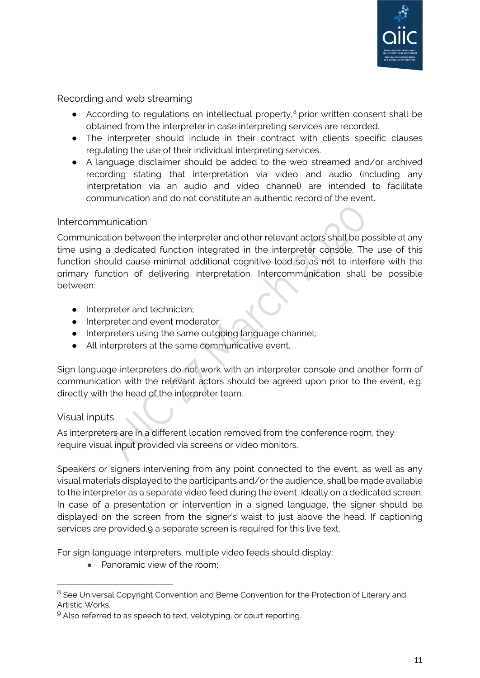

<span id="page-10-0"></span>Recording and web streaming

- According to regulations on intellectual property,<sup>[8](#page-10-3)</sup> prior written consent shall be obtained from the interpreter in case interpreting services are recorded.
- The interpreter should include in their contract with clients specific clauses regulating the use of their individual interpreting services.
- A language disclaimer should be added to the web streamed and/or archived recording stating that interpretation via video and audio (including any interpretation via an audio and video channel) are intended to facilitate communication and do not constitute an authentic record of the event.

#### <span id="page-10-1"></span>Intercommunication

Communication between the interpreter and other relevant actors shall be possible at any time using a dedicated function integrated in the interpreter console. The use of this function should cause minimal additional cognitive load so as not to interfere with the primary function of delivering interpretation. Intercommunication shall be possible between:

- Interpreter and technician:
- Interpreter and event moderator;
- Interpreters using the same outgoing language channel;
- All interpreters at the same communicative event.

Sign language interpreters do not work with an interpreter console and another form of communication with the relevant actors should be agreed upon prior to the event, e.g. directly with the head of the interpreter team.

#### <span id="page-10-2"></span>Visual inputs

As interpreters are in a different location removed from the conference room, they require visual input provided via screens or video monitors.

Speakers or signers intervening from any point connected to the event, as well as any visual materials displayed to the participants and/or the audience, shall be made available to the interpreter as a separate video feed during the event, ideally on a dedicated screen. In case of a presentation or intervention in a signed language, the signer should be displayed on the screen from the signer's waist to just above the head. If captioning services are provided, [9](#page-10-4) a separate screen is required for this live text.

For sign language interpreters, multiple video feeds should display:

● Panoramic view of the room;

<span id="page-10-3"></span><sup>&</sup>lt;sup>8</sup> See Universal Copyright Convention and Berne Convention for the Protection of Literary and Artistic Works.

<span id="page-10-4"></span><sup>&</sup>lt;sup>9</sup> Also referred to as speech to text, velotyping, or court reporting.